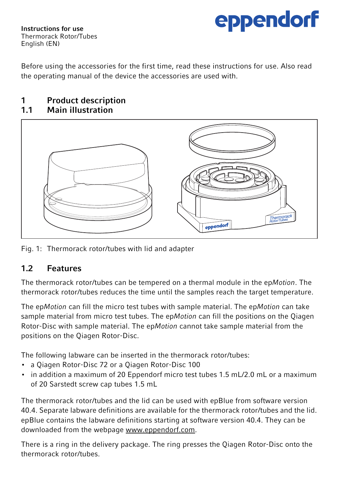

Instructions for use Thermorack Rotor/Tubes English (EN)

Before using the accessories for the first time, read these instructions for use. Also read the operating manual of the device the accessories are used with.

## 1 Product description<br>11 Main illustration

#### Main illustration



Fig. 1: Thermorack rotor/tubes with lid and adapter

#### 1.2 Features

The thermorack rotor/tubes can be tempered on a thermal module in the ep*Motion*. The thermorack rotor/tubes reduces the time until the samples reach the target temperature.

The ep*Motion* can fill the micro test tubes with sample material. The ep*Motion* can take sample material from micro test tubes. The ep*Motion* can fill the positions on the Qiagen Rotor-Disc with sample material. The ep*Motion* cannot take sample material from the positions on the Qiagen Rotor-Disc.

The following labware can be inserted in the thermorack rotor/tubes:

- a Qiagen Rotor-Disc 72 or a Qiagen Rotor-Disc 100
- in addition a maximum of 20 Eppendorf micro test tubes 1.5 mL/2.0 mL or a maximum of 20 Sarstedt screw cap tubes 1.5 mL

The thermorack rotor/tubes and the lid can be used with epBlue from software version 40.4. Separate labware definitions are available for the thermorack rotor/tubes and the lid. epBlue contains the labware definitions starting at software version 40.4. They can be downloaded from the webpage www.eppendorf.com.

There is a ring in the delivery package. The ring presses the Qiagen Rotor-Disc onto the thermorack rotor/tubes.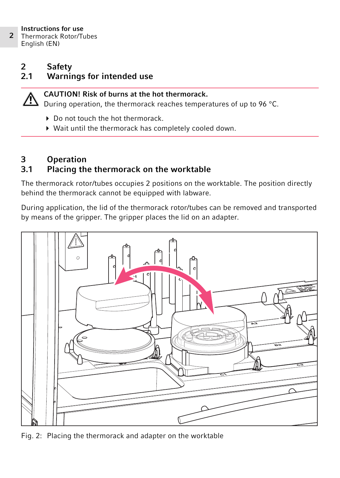<sup>2</sup> Instructions for use Thermorack Rotor/Tubes English (EN)

# 2 Safety<br>2.1 Warnii

### Warnings for intended use



#### CAUTION! Risk of burns at the hot thermorack.

During operation, the thermorack reaches temperatures of up to 96 °C.

- Do not touch the hot thermorack
- Wait until the thermorack has completely cooled down.

### 3 Operation

### 3.1 Placing the thermorack on the worktable

The thermorack rotor/tubes occupies 2 positions on the worktable. The position directly behind the thermorack cannot be equipped with labware.

During application, the lid of the thermorack rotor/tubes can be removed and transported by means of the gripper. The gripper places the lid on an adapter.



Fig. 2: Placing the thermorack and adapter on the worktable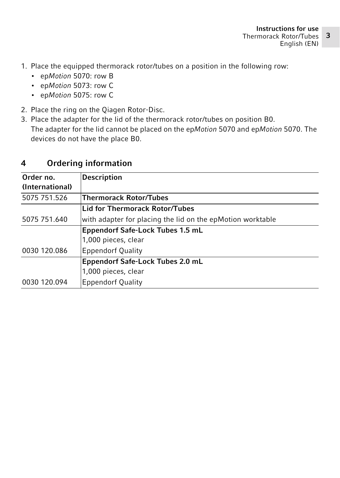- 1. Place the equipped thermorack rotor/tubes on a position in the following row:
	- ep*Motion* 5070: row B
	- ep*Motion* 5073: row C
	- ep*Motion* 5075: row C
- 2. Place the ring on the Qiagen Rotor-Disc.
- 3. Place the adapter for the lid of the thermorack rotor/tubes on position B0. The adapter for the lid cannot be placed on the ep*Motion* 5070 and ep*Motion* 5070. The devices do not have the place B0.

| Order no.       | <b>Description</b>                                         |
|-----------------|------------------------------------------------------------|
| (International) |                                                            |
| 5075 751.526    | <b>Thermorack Rotor/Tubes</b>                              |
|                 | <b>Lid for Thermorack Rotor/Tubes</b>                      |
| 5075 751.640    | with adapter for placing the lid on the epMotion worktable |
|                 | Eppendorf Safe-Lock Tubes 1.5 mL                           |
|                 | 1,000 pieces, clear                                        |
| 0030 120.086    | <b>Eppendorf Quality</b>                                   |
|                 | Eppendorf Safe-Lock Tubes 2.0 mL                           |
|                 | 1,000 pieces, clear                                        |
| 0030 120.094    | <b>Eppendorf Quality</b>                                   |

#### 4 Ordering information